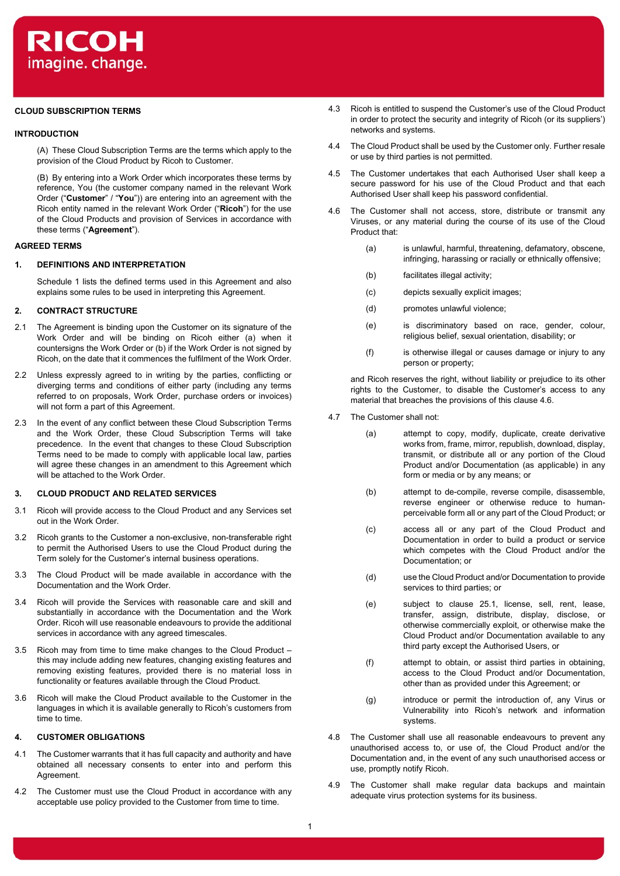# **CLOUD SUBSCRIPTION TERMS**

### **INTRODUCTION**

(A) These Cloud Subscription Terms are the terms which apply to the provision of the Cloud Product by Ricoh to Customer.

(B) By entering into a Work Order which incorporates these terms by reference, You (the customer company named in the relevant Work Order ("**Customer**" / "**You**")) are entering into an agreement with the Ricoh entity named in the relevant Work Order ("**Ricoh**") for the use of the Cloud Products and provision of Services in accordance with these terms ("**Agreement**").

# **AGREED TERMS**

### **1. DEFINITIONS AND INTERPRETATION**

Schedule 1 lists the defined terms used in this Agreement and also explains some rules to be used in interpreting this Agreement.

## **2. CONTRACT STRUCTURE**

- 2.1 The Agreement is binding upon the Customer on its signature of the Work Order and will be binding on Ricoh either (a) when it countersigns the Work Order or (b) if the Work Order is not signed by Ricoh, on the date that it commences the fulfilment of the Work Order.
- 2.2 Unless expressly agreed to in writing by the parties, conflicting or diverging terms and conditions of either party (including any terms referred to on proposals, Work Order, purchase orders or invoices) will not form a part of this Agreement.
- 2.3 In the event of any conflict between these Cloud Subscription Terms and the Work Order, these Cloud Subscription Terms will take precedence. In the event that changes to these Cloud Subscription Terms need to be made to comply with applicable local law, parties will agree these changes in an amendment to this Agreement which will be attached to the Work Order.

# **3. CLOUD PRODUCT AND RELATED SERVICES**

- 3.1 Ricoh will provide access to the Cloud Product and any Services set out in the Work Order.
- 3.2 Ricoh grants to the Customer a non-exclusive, non-transferable right to permit the Authorised Users to use the Cloud Product during the Term solely for the Customer's internal business operations.
- 3.3 The Cloud Product will be made available in accordance with the Documentation and the Work Order.
- 3.4 Ricoh will provide the Services with reasonable care and skill and substantially in accordance with the Documentation and the Work Order. Ricoh will use reasonable endeavours to provide the additional services in accordance with any agreed timescales.
- 3.5 Ricoh may from time to time make changes to the Cloud Product this may include adding new features, changing existing features and removing existing features, provided there is no material loss in functionality or features available through the Cloud Product.
- 3.6 Ricoh will make the Cloud Product available to the Customer in the languages in which it is available generally to Ricoh's customers from time to time.

# **4. CUSTOMER OBLIGATIONS**

- 4.1 The Customer warrants that it has full capacity and authority and have obtained all necessary consents to enter into and perform this Agreement.
- 4.2 The Customer must use the Cloud Product in accordance with any acceptable use policy provided to the Customer from time to time.
- 4.3 Ricoh is entitled to suspend the Customer's use of the Cloud Product in order to protect the security and integrity of Ricoh (or its suppliers') networks and systems.
- 4.4 The Cloud Product shall be used by the Customer only. Further resale or use by third parties is not permitted.
- 4.5 The Customer undertakes that each Authorised User shall keep a secure password for his use of the Cloud Product and that each Authorised User shall keep his password confidential.
- 4.6 The Customer shall not access, store, distribute or transmit any Viruses, or any material during the course of its use of the Cloud Product that:
	- (a) is unlawful, harmful, threatening, defamatory, obscene, infringing, harassing or racially or ethnically offensive;
	- (b) facilitates illegal activity;
	- (c) depicts sexually explicit images;
	- (d) promotes unlawful violence;
	- (e) is discriminatory based on race, gender, colour, religious belief, sexual orientation, disability; or
	- (f) is otherwise illegal or causes damage or injury to any person or property;

and Ricoh reserves the right, without liability or prejudice to its other rights to the Customer, to disable the Customer's access to any material that breaches the provisions of this clause 4.6.

- 4.7 The Customer shall not:
	- (a) attempt to copy, modify, duplicate, create derivative works from, frame, mirror, republish, download, display, transmit, or distribute all or any portion of the Cloud Product and/or Documentation (as applicable) in any form or media or by any means; or
	- (b) attempt to de-compile, reverse compile, disassemble, reverse engineer or otherwise reduce to humanperceivable form all or any part of the Cloud Product; or
	- (c) access all or any part of the Cloud Product and Documentation in order to build a product or service which competes with the Cloud Product and/or the Documentation; or
	- (d) use the Cloud Product and/or Documentation to provide services to third parties; or
	- (e) subject to clause 25.1, license, sell, rent, lease, transfer, assign, distribute, display, disclose, or otherwise commercially exploit, or otherwise make the Cloud Product and/or Documentation available to any third party except the Authorised Users, or
	- (f) attempt to obtain, or assist third parties in obtaining, access to the Cloud Product and/or Documentation, other than as provided under this Agreement; or
	- (g) introduce or permit the introduction of, any Virus or Vulnerability into Ricoh's network and information systems.
- 4.8 The Customer shall use all reasonable endeavours to prevent any unauthorised access to, or use of, the Cloud Product and/or the Documentation and, in the event of any such unauthorised access or use, promptly notify Ricoh.
- 4.9 The Customer shall make regular data backups and maintain adequate virus protection systems for its business.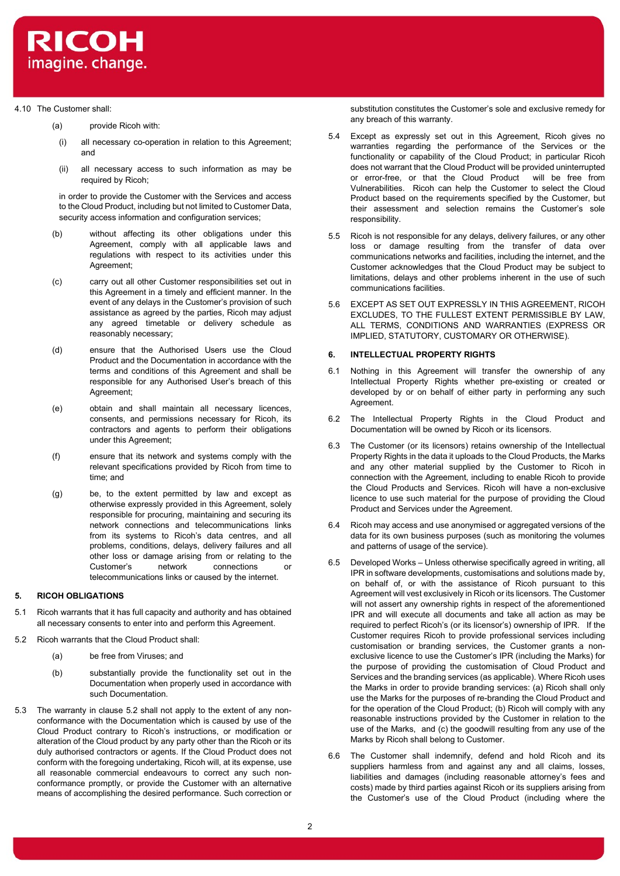

# 4.10 The Customer shall:

- (a) provide Ricoh with:
	- (i) all necessary co-operation in relation to this Agreement; and
	- (ii) all necessary access to such information as may be required by Ricoh;

in order to provide the Customer with the Services and access to the Cloud Product, including but not limited to Customer Data, security access information and configuration services:

- (b) without affecting its other obligations under this Agreement, comply with all applicable laws and regulations with respect to its activities under this Agreement;
- (c) carry out all other Customer responsibilities set out in this Agreement in a timely and efficient manner. In the event of any delays in the Customer's provision of such assistance as agreed by the parties, Ricoh may adjust any agreed timetable or delivery schedule as reasonably necessary;
- (d) ensure that the Authorised Users use the Cloud Product and the Documentation in accordance with the terms and conditions of this Agreement and shall be responsible for any Authorised User's breach of this Agreement:
- (e) obtain and shall maintain all necessary licences, consents, and permissions necessary for Ricoh, its contractors and agents to perform their obligations under this Agreement;
- (f) ensure that its network and systems comply with the relevant specifications provided by Ricoh from time to time; and
- (g) be, to the extent permitted by law and except as otherwise expressly provided in this Agreement, solely responsible for procuring, maintaining and securing its network connections and telecommunications links from its systems to Ricoh's data centres, and all problems, conditions, delays, delivery failures and all other loss or damage arising from or relating to the Customer's network connections or telecommunications links or caused by the internet.

## **5. RICOH OBLIGATIONS**

- 5.1 Ricoh warrants that it has full capacity and authority and has obtained all necessary consents to enter into and perform this Agreement.
- 5.2 Ricoh warrants that the Cloud Product shall:
	- (a) be free from Viruses; and
	- (b) substantially provide the functionality set out in the Documentation when properly used in accordance with such Documentation.
- 5.3 The warranty in clause 5.2 shall not apply to the extent of any nonconformance with the Documentation which is caused by use of the Cloud Product contrary to Ricoh's instructions, or modification or alteration of the Cloud product by any party other than the Ricoh or its duly authorised contractors or agents. If the Cloud Product does not conform with the foregoing undertaking, Ricoh will, at its expense, use all reasonable commercial endeavours to correct any such nonconformance promptly, or provide the Customer with an alternative means of accomplishing the desired performance. Such correction or

substitution constitutes the Customer's sole and exclusive remedy for any breach of this warranty.

- 5.4 Except as expressly set out in this Agreement, Ricoh gives no warranties regarding the performance of the Services or the functionality or capability of the Cloud Product; in particular Ricoh does not warrant that the Cloud Product will be provided uninterrupted or error-free, or that the Cloud Product will be free from Vulnerabilities. Ricoh can help the Customer to select the Cloud Product based on the requirements specified by the Customer, but their assessment and selection remains the Customer's sole responsibility.
- 5.5 Ricoh is not responsible for any delays, delivery failures, or any other loss or damage resulting from the transfer of data over communications networks and facilities, including the internet, and the Customer acknowledges that the Cloud Product may be subject to limitations, delays and other problems inherent in the use of such communications facilities.
- 5.6 EXCEPT AS SET OUT EXPRESSLY IN THIS AGREEMENT, RICOH EXCLUDES, TO THE FULLEST EXTENT PERMISSIBLE BY LAW, ALL TERMS, CONDITIONS AND WARRANTIES (EXPRESS OR IMPLIED, STATUTORY, CUSTOMARY OR OTHERWISE).

### **6. INTELLECTUAL PROPERTY RIGHTS**

- 6.1 Nothing in this Agreement will transfer the ownership of any Intellectual Property Rights whether pre-existing or created or developed by or on behalf of either party in performing any such Agreement.
- 6.2 The Intellectual Property Rights in the Cloud Product and Documentation will be owned by Ricoh or its licensors.
- 6.3 The Customer (or its licensors) retains ownership of the Intellectual Property Rights in the data it uploads to the Cloud Products, the Marks and any other material supplied by the Customer to Ricoh in connection with the Agreement, including to enable Ricoh to provide the Cloud Products and Services. Ricoh will have a non-exclusive licence to use such material for the purpose of providing the Cloud Product and Services under the Agreement.
- 6.4 Ricoh may access and use anonymised or aggregated versions of the data for its own business purposes (such as monitoring the volumes and patterns of usage of the service).
- 6.5 Developed Works Unless otherwise specifically agreed in writing, all IPR in software developments, customisations and solutions made by, on behalf of, or with the assistance of Ricoh pursuant to this Agreement will vest exclusively in Ricoh or its licensors. The Customer will not assert any ownership rights in respect of the aforementioned IPR and will execute all documents and take all action as may be required to perfect Ricoh's (or its licensor's) ownership of IPR. If the Customer requires Ricoh to provide professional services including customisation or branding services, the Customer grants a nonexclusive licence to use the Customer's IPR (including the Marks) for the purpose of providing the customisation of Cloud Product and Services and the branding services (as applicable). Where Ricoh uses the Marks in order to provide branding services: (a) Ricoh shall only use the Marks for the purposes of re-branding the Cloud Product and for the operation of the Cloud Product; (b) Ricoh will comply with any reasonable instructions provided by the Customer in relation to the use of the Marks, and (c) the goodwill resulting from any use of the Marks by Ricoh shall belong to Customer.
- 6.6 The Customer shall indemnify, defend and hold Ricoh and its suppliers harmless from and against any and all claims, losses, liabilities and damages (including reasonable attorney's fees and costs) made by third parties against Ricoh or its suppliers arising from the Customer's use of the Cloud Product (including where the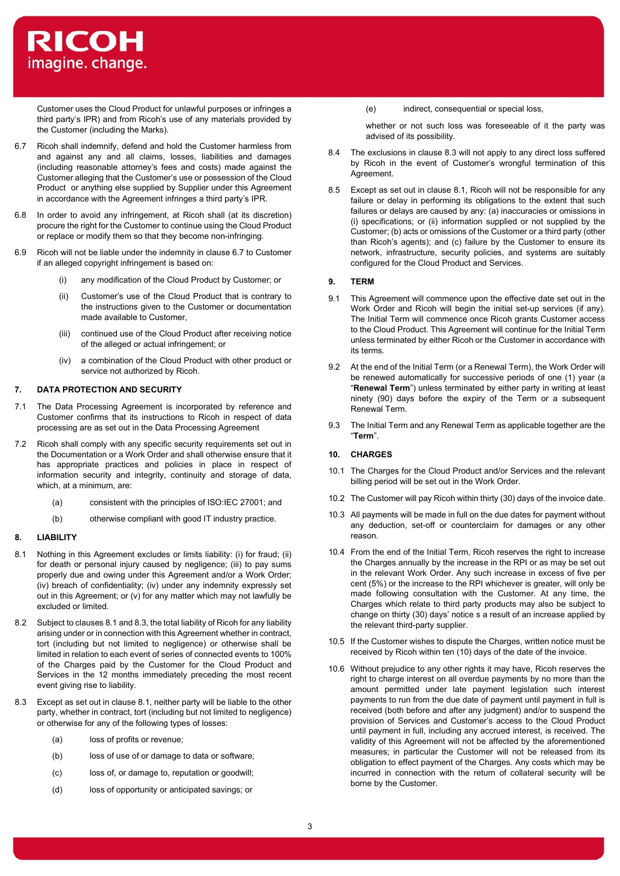

Customer uses the Cloud Product for unlawful purposes or infringes a third party's IPR) and from Ricoh's use of any materials provided by the Customer (including the Marks).

- 6.7 Ricoh shall indemnify, defend and hold the Customer harmless from and against any and all claims, losses, liabilities and damages (including reasonable attorney's fees and costs) made against the Customer alleging that the Customer's use or possession of the Cloud Product or anything else supplied by Supplier under this Agreement in accordance with the Agreement infringes a third party's IPR.
- 6.8 In order to avoid any infringement, at Ricoh shall (at its discretion) procure the right for the Customer to continue using the Cloud Product or replace or modify them so that they become non-infringing.
- 6.9 Ricoh will not be liable under the indemnity in clause 6.7 to Customer if an alleged copyright infringement is based on:
	- (i) any modification of the Cloud Product by Customer; or
	- (ii) Customer's use of the Cloud Product that is contrary to the instructions given to the Customer or documentation made available to Customer,
	- (iii) continued use of the Cloud Product after receiving notice of the alleged or actual infringement; or
	- (iv) a combination of the Cloud Product with other product or service not authorized by Ricoh.

### **7. DATA PROTECTION AND SECURITY**

- 7.1 The Data Processing Agreement is incorporated by reference and Customer confirms that its instructions to Ricoh in respect of data processing are as set out in the Data Processing Agreement
- 7.2 Ricoh shall comply with any specific security requirements set out in the Documentation or a Work Order and shall otherwise ensure that it has appropriate practices and policies in place in respect of information security and integrity, continuity and storage of data, which, at a minimum, are:
	- (a) consistent with the principles of ISO:IEC 27001; and
	- (b) otherwise compliant with good IT industry practice.

#### **8. LIABILITY**

- 8.1 Nothing in this Agreement excludes or limits liability: (i) for fraud; (ii) for death or personal injury caused by negligence; (iii) to pay sums properly due and owing under this Agreement and/or a Work Order; (iv) breach of confidentiality; (iv) under any indemnity expressly set out in this Agreement; or (v) for any matter which may not lawfully be excluded or limited.
- 8.2 Subject to clauses 8.1 and 8.3, the total liability of Ricoh for any liability arising under or in connection with this Agreement whether in contract, tort (including but not limited to negligence) or otherwise shall be limited in relation to each event of series of connected events to 100% of the Charges paid by the Customer for the Cloud Product and Services in the 12 months immediately preceding the most recent event giving rise to liability.
- 8.3 Except as set out in clause 8.1, neither party will be liable to the other party, whether in contract, tort (including but not limited to negligence) or otherwise for any of the following types of losses:
	- (a) loss of profits or revenue;
	- (b) loss of use of or damage to data or software;
	- (c) loss of, or damage to, reputation or goodwill;
	- (d) loss of opportunity or anticipated savings; or

(e) indirect, consequential or special loss,

whether or not such loss was foreseeable of it the party was advised of its possibility.

- 8.4 The exclusions in clause 8.3 will not apply to any direct loss suffered by Ricoh in the event of Customer's wrongful termination of this **Agreement**
- 8.5 Except as set out in clause 8.1, Ricoh will not be responsible for any failure or delay in performing its obligations to the extent that such failures or delays are caused by any: (a) inaccuracies or omissions in (i) specifications; or (ii) information supplied or not supplied by the Customer; (b) acts or omissions of the Customer or a third party (other than Ricoh's agents); and (c) failure by the Customer to ensure its network, infrastructure, security policies, and systems are suitably configured for the Cloud Product and Services.

## **9. TERM**

- 9.1 This Agreement will commence upon the effective date set out in the Work Order and Ricoh will begin the initial set-up services (if any). The Initial Term will commence once Ricoh grants Customer access to the Cloud Product. This Agreement will continue for the Initial Term unless terminated by either Ricoh or the Customer in accordance with its terms.
- 9.2 At the end of the Initial Term (or a Renewal Term), the Work Order will be renewed automatically for successive periods of one (1) year (a "**Renewal Term**") unless terminated by either party in writing at least ninety (90) days before the expiry of the Term or a subsequent Renewal Term.
- 9.3 The Initial Term and any Renewal Term as applicable together are the "**Term**".

# **10. CHARGES**

- 10.1 The Charges for the Cloud Product and/or Services and the relevant billing period will be set out in the Work Order.
- 10.2 The Customer will pay Ricoh within thirty (30) days of the invoice date.
- 10.3 All payments will be made in full on the due dates for payment without any deduction, set-off or counterclaim for damages or any other reason.
- 10.4 From the end of the Initial Term, Ricoh reserves the right to increase the Charges annually by the increase in the RPI or as may be set out in the relevant Work Order. Any such increase in excess of five per cent (5%) or the increase to the RPI whichever is greater, will only be made following consultation with the Customer. At any time, the Charges which relate to third party products may also be subject to change on thirty (30) days' notice s a result of an increase applied by the relevant third-party supplier.
- 10.5 If the Customer wishes to dispute the Charges, written notice must be received by Ricoh within ten (10) days of the date of the invoice.
- 10.6 Without prejudice to any other rights it may have, Ricoh reserves the right to charge interest on all overdue payments by no more than the amount permitted under late payment legislation such interest payments to run from the due date of payment until payment in full is received (both before and after any judgment) and/or to suspend the provision of Services and Customer's access to the Cloud Product until payment in full, including any accrued interest, is received. The validity of this Agreement will not be affected by the aforementioned measures; in particular the Customer will not be released from its obligation to effect payment of the Charges. Any costs which may be incurred in connection with the return of collateral security will be borne by the Customer.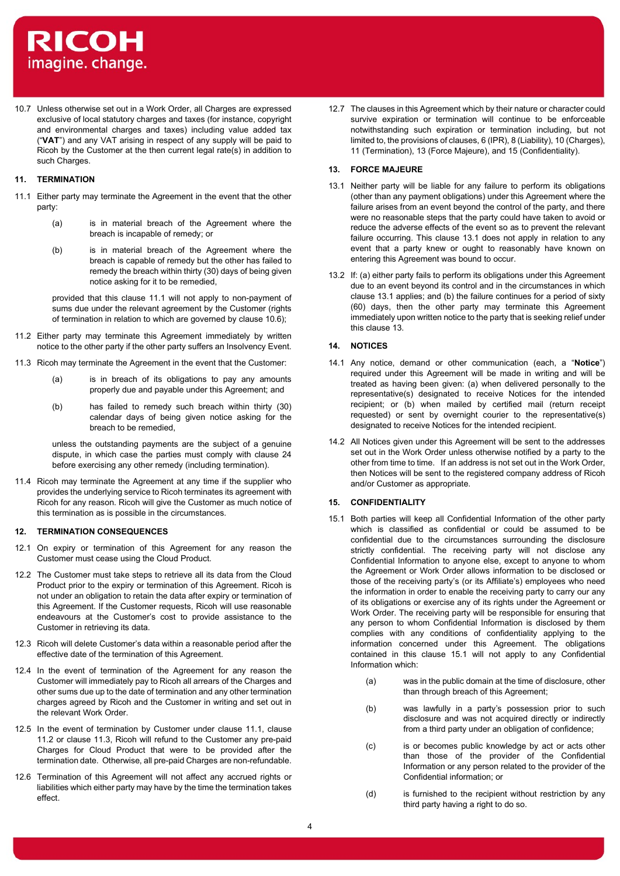

10.7 Unless otherwise set out in a Work Order, all Charges are expressed exclusive of local statutory charges and taxes (for instance, copyright and environmental charges and taxes) including value added tax ("**VAT**") and any VAT arising in respect of any supply will be paid to Ricoh by the Customer at the then current legal rate(s) in addition to such Charges.

# **11. TERMINATION**

- 11.1 Either party may terminate the Agreement in the event that the other party:
	- (a) is in material breach of the Agreement where the breach is incapable of remedy; or
	- (b) is in material breach of the Agreement where the breach is capable of remedy but the other has failed to remedy the breach within thirty (30) days of being given notice asking for it to be remedied,

provided that this clause 11.1 will not apply to non-payment of sums due under the relevant agreement by the Customer (rights of termination in relation to which are governed by clause 10.6);

- 11.2 Either party may terminate this Agreement immediately by written notice to the other party if the other party suffers an Insolvency Event.
- 11.3 Ricoh may terminate the Agreement in the event that the Customer:
	- (a) is in breach of its obligations to pay any amounts properly due and payable under this Agreement; and
	- (b) has failed to remedy such breach within thirty (30) calendar days of being given notice asking for the breach to be remedied,

unless the outstanding payments are the subject of a genuine dispute, in which case the parties must comply with clause 24 before exercising any other remedy (including termination).

11.4 Ricoh may terminate the Agreement at any time if the supplier who provides the underlying service to Ricoh terminates its agreement with Ricoh for any reason. Ricoh will give the Customer as much notice of this termination as is possible in the circumstances.

### **12. TERMINATION CONSEQUENCES**

- 12.1 On expiry or termination of this Agreement for any reason the Customer must cease using the Cloud Product.
- 12.2 The Customer must take steps to retrieve all its data from the Cloud Product prior to the expiry or termination of this Agreement. Ricoh is not under an obligation to retain the data after expiry or termination of this Agreement. If the Customer requests, Ricoh will use reasonable endeavours at the Customer's cost to provide assistance to the Customer in retrieving its data.
- 12.3 Ricoh will delete Customer's data within a reasonable period after the effective date of the termination of this Agreement.
- 12.4 In the event of termination of the Agreement for any reason the Customer will immediately pay to Ricoh all arrears of the Charges and other sums due up to the date of termination and any other termination charges agreed by Ricoh and the Customer in writing and set out in the relevant Work Order.
- 12.5 In the event of termination by Customer under clause 11.1, clause 11.2 or clause 11.3, Ricoh will refund to the Customer any pre-paid Charges for Cloud Product that were to be provided after the termination date. Otherwise, all pre-paid Charges are non-refundable.
- 12.6 Termination of this Agreement will not affect any accrued rights or liabilities which either party may have by the time the termination takes effect.

12.7 The clauses in this Agreement which by their nature or character could survive expiration or termination will continue to be enforceable notwithstanding such expiration or termination including, but not limited to, the provisions of clauses, 6 (IPR), 8 (Liability), 10 (Charges), 11 (Termination), 13 (Force Majeure), and 15 (Confidentiality).

## **13. FORCE MAJEURE**

- 13.1 Neither party will be liable for any failure to perform its obligations (other than any payment obligations) under this Agreement where the failure arises from an event beyond the control of the party, and there were no reasonable steps that the party could have taken to avoid or reduce the adverse effects of the event so as to prevent the relevant failure occurring. This clause 13.1 does not apply in relation to any event that a party knew or ought to reasonably have known on entering this Agreement was bound to occur.
- 13.2 If: (a) either party fails to perform its obligations under this Agreement due to an event beyond its control and in the circumstances in which clause 13.1 applies; and (b) the failure continues for a period of sixty (60) days, then the other party may terminate this Agreement immediately upon written notice to the party that is seeking relief under this clause 13.

# **14. NOTICES**

- 14.1 Any notice, demand or other communication (each, a "**Notice**") required under this Agreement will be made in writing and will be treated as having been given: (a) when delivered personally to the representative(s) designated to receive Notices for the intended recipient; or (b) when mailed by certified mail (return receipt requested) or sent by overnight courier to the representative(s) designated to receive Notices for the intended recipient.
- 14.2 All Notices given under this Agreement will be sent to the addresses set out in the Work Order unless otherwise notified by a party to the other from time to time. If an address is not set out in the Work Order, then Notices will be sent to the registered company address of Ricoh and/or Customer as appropriate.

## **15. CONFIDENTIALITY**

- 15.1 Both parties will keep all Confidential Information of the other party which is classified as confidential or could be assumed to be confidential due to the circumstances surrounding the disclosure strictly confidential. The receiving party will not disclose any Confidential Information to anyone else, except to anyone to whom the Agreement or Work Order allows information to be disclosed or those of the receiving party's (or its Affiliate's) employees who need the information in order to enable the receiving party to carry our any of its obligations or exercise any of its rights under the Agreement or Work Order. The receiving party will be responsible for ensuring that any person to whom Confidential Information is disclosed by them complies with any conditions of confidentiality applying to the information concerned under this Agreement. The obligations contained in this clause 15.1 will not apply to any Confidential Information which:
	- (a) was in the public domain at the time of disclosure, other than through breach of this Agreement;
	- (b) was lawfully in a party's possession prior to such disclosure and was not acquired directly or indirectly from a third party under an obligation of confidence;
	- (c) is or becomes public knowledge by act or acts other than those of the provider of the Confidential Information or any person related to the provider of the Confidential information; or
	- (d) is furnished to the recipient without restriction by any third party having a right to do so.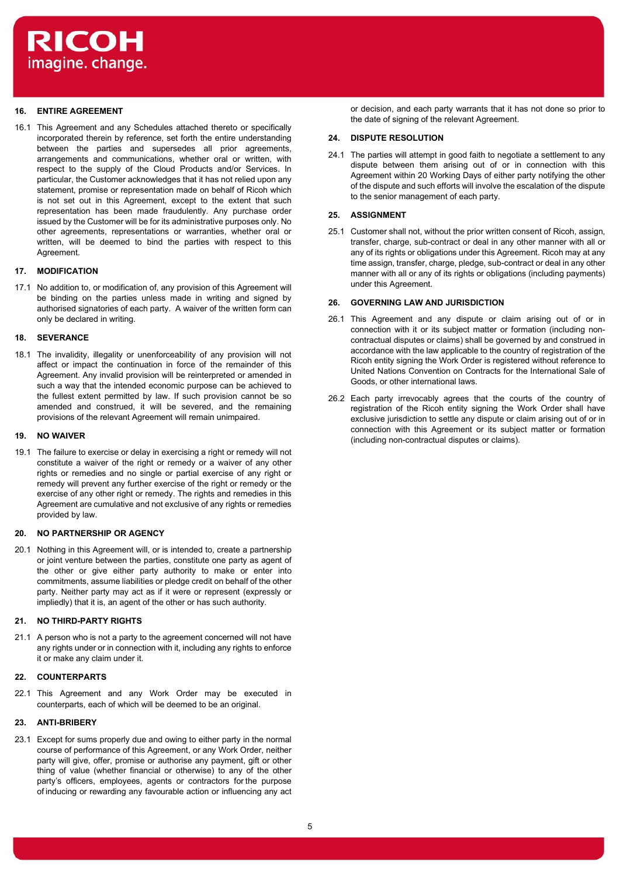

## **16. ENTIRE AGREEMENT**

16.1 This Agreement and any Schedules attached thereto or specifically incorporated therein by reference, set forth the entire understanding between the parties and supersedes all prior agreements, arrangements and communications, whether oral or written, with respect to the supply of the Cloud Products and/or Services. In particular, the Customer acknowledges that it has not relied upon any statement, promise or representation made on behalf of Ricoh which is not set out in this Agreement, except to the extent that such representation has been made fraudulently. Any purchase order issued by the Customer will be for its administrative purposes only. No other agreements, representations or warranties, whether oral or written, will be deemed to bind the parties with respect to this Agreement.

### **17. MODIFICATION**

17.1 No addition to, or modification of, any provision of this Agreement will be binding on the parties unless made in writing and signed by authorised signatories of each party. A waiver of the written form can only be declared in writing.

## **18. SEVERANCE**

18.1 The invalidity, illegality or unenforceability of any provision will not affect or impact the continuation in force of the remainder of this Agreement. Any invalid provision will be reinterpreted or amended in such a way that the intended economic purpose can be achieved to the fullest extent permitted by law. If such provision cannot be so amended and construed, it will be severed, and the remaining provisions of the relevant Agreement will remain unimpaired.

# **19. NO WAIVER**

19.1 The failure to exercise or delay in exercising a right or remedy will not constitute a waiver of the right or remedy or a waiver of any other rights or remedies and no single or partial exercise of any right or remedy will prevent any further exercise of the right or remedy or the exercise of any other right or remedy. The rights and remedies in this Agreement are cumulative and not exclusive of any rights or remedies provided by law.

## **20. NO PARTNERSHIP OR AGENCY**

20.1 Nothing in this Agreement will, or is intended to, create a partnership or joint venture between the parties, constitute one party as agent of the other or give either party authority to make or enter into commitments, assume liabilities or pledge credit on behalf of the other party. Neither party may act as if it were or represent (expressly or impliedly) that it is, an agent of the other or has such authority.

## **21. NO THIRD-PARTY RIGHTS**

21.1 A person who is not a party to the agreement concerned will not have any rights under or in connection with it, including any rights to enforce it or make any claim under it.

# **22. COUNTERPARTS**

22.1 This Agreement and any Work Order may be executed in counterparts, each of which will be deemed to be an original.

# **23. ANTI-BRIBERY**

23.1 Except for sums properly due and owing to either party in the normal course of performance of this Agreement, or any Work Order, neither party will give, offer, promise or authorise any payment, gift or other thing of value (whether financial or otherwise) to any of the other party's officers, employees, agents or contractors for the purpose of inducing or rewarding any favourable action or influencing any act or decision, and each party warrants that it has not done so prior to the date of signing of the relevant Agreement.

# **24. DISPUTE RESOLUTION**

24.1 The parties will attempt in good faith to negotiate a settlement to any dispute between them arising out of or in connection with this Agreement within 20 Working Days of either party notifying the other of the dispute and such efforts will involve the escalation of the dispute to the senior management of each party.

# **25. ASSIGNMENT**

25.1 Customer shall not, without the prior written consent of Ricoh, assign, transfer, charge, sub-contract or deal in any other manner with all or any of its rights or obligations under this Agreement. Ricoh may at any time assign, transfer, charge, pledge, sub-contract or deal in any other manner with all or any of its rights or obligations (including payments) under this Agreement.

# **26. GOVERNING LAW AND JURISDICTION**

- 26.1 This Agreement and any dispute or claim arising out of or in connection with it or its subject matter or formation (including noncontractual disputes or claims) shall be governed by and construed in accordance with the law applicable to the country of registration of the Ricoh entity signing the Work Order is registered without reference to United Nations Convention on Contracts for the International Sale of Goods, or other international laws.
- 26.2 Each party irrevocably agrees that the courts of the country of registration of the Ricoh entity signing the Work Order shall have exclusive jurisdiction to settle any dispute or claim arising out of or in connection with this Agreement or its subject matter or formation (including non-contractual disputes or claims).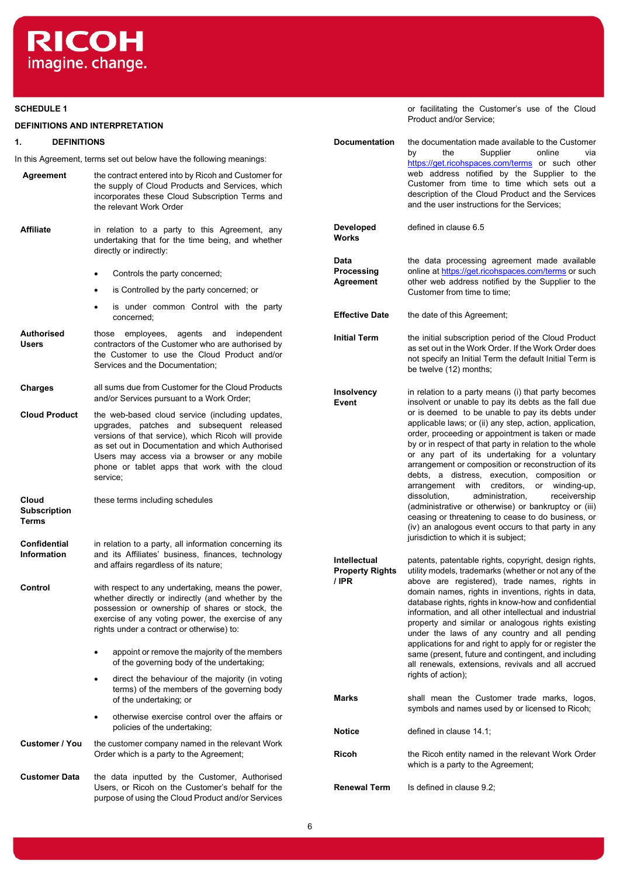

## **SCHEDULE 1**

### **DEFINITIONS AND INTERPRETATION**

## **1. DEFINITIONS**

In this Agreement, terms set out below have the following meanings:

| Agreement                             | the contract entered into by Ricoh and Customer for<br>the supply of Cloud Products and Services, which<br>incorporates these Cloud Subscription Terms and<br>the relevant Work Order                                                                                                                                |             |
|---------------------------------------|----------------------------------------------------------------------------------------------------------------------------------------------------------------------------------------------------------------------------------------------------------------------------------------------------------------------|-------------|
| <b>Affiliate</b>                      | in relation to a party to this Agreement, any<br>undertaking that for the time being, and whether                                                                                                                                                                                                                    | Dev<br>Wor  |
|                                       | directly or indirectly:                                                                                                                                                                                                                                                                                              | Data        |
|                                       | Controls the party concerned;<br>٠                                                                                                                                                                                                                                                                                   | Pro         |
|                                       | is Controlled by the party concerned; or<br>٠                                                                                                                                                                                                                                                                        | Agr         |
|                                       | is under common Control with the party<br>٠<br>concerned;                                                                                                                                                                                                                                                            | Effe        |
| Authorised<br>Users                   | employees, agents and independent<br>those<br>contractors of the Customer who are authorised by<br>the Customer to use the Cloud Product and/or<br>Services and the Documentation;                                                                                                                                   | Initi       |
| Charges                               | all sums due from Customer for the Cloud Products<br>and/or Services pursuant to a Work Order;                                                                                                                                                                                                                       | Inso<br>Eve |
| <b>Cloud Product</b>                  | the web-based cloud service (including updates,<br>upgrades, patches and subsequent released<br>versions of that service), which Ricoh will provide<br>as set out in Documentation and which Authorised<br>Users may access via a browser or any mobile<br>phone or tablet apps that work with the cloud<br>service; |             |
| Cloud<br><b>Subscription</b><br>Terms | these terms including schedules                                                                                                                                                                                                                                                                                      |             |
| Confidential<br><b>Information</b>    | in relation to a party, all information concerning its<br>and its Affiliates' business, finances, technology<br>and affairs regardless of its nature;                                                                                                                                                                | Inte<br>Pro |
| Control                               | with respect to any undertaking, means the power,<br>whether directly or indirectly (and whether by the<br>possession or ownership of shares or stock, the<br>exercise of any voting power, the exercise of any<br>rights under a contract or otherwise) to:                                                         | / IPF       |
|                                       | appoint or remove the majority of the members<br>of the governing body of the undertaking;                                                                                                                                                                                                                           |             |
|                                       | direct the behaviour of the majority (in voting<br>$\bullet$<br>terms) of the members of the governing body<br>of the undertaking; or                                                                                                                                                                                | Mar         |
|                                       | otherwise exercise control over the affairs or<br>policies of the undertaking;                                                                                                                                                                                                                                       | Noti        |
| Customer / You                        | the customer company named in the relevant Work<br>Order which is a party to the Agreement;                                                                                                                                                                                                                          | Rico        |
| <b>Customer Data</b>                  | the data inputted by the Customer, Authorised<br>Users, or Ricoh on the Customer's behalf for the<br>purpose of using the Cloud Product and/or Services                                                                                                                                                              | Ren         |

or facilitating the Customer's use of the Cloud Product and/or Service;

**Documentation** the documentation made available to the Customer<br>by the Supplier online via Supplier [https://get.ricohspaces.com/terms](https://eur02.safelinks.protection.outlook.com/?url=https%3A%2F%2Fget.ricohspaces.com%2Fterms&data=04%7C01%7CSage.Nemra%40ricoh-europe.com%7C61c8b94864ef4e4c163b08d94b5f7913%7Cdd29478d624e429eb453fffc969ac768%7C0%7C0%7C637623695703633165%7CUnknown%7CTWFpbGZsb3d8eyJWIjoiMC4wLjAwMDAiLCJQIjoiV2luMzIiLCJBTiI6Ik1haWwiLCJXVCI6Mn0%3D%7C1000&sdata=NOgE%2Bn7kfjuf9fzb0bIoYdi1%2BQ7O%2BE6MmC%2F95N1mJT8%3D&reserved=0) or such other web address notified by the Supplier to the Customer from time to time which sets out a description of the Cloud Product and the Services and the user instructions for the Services; **Developed Works** defined in clause 6.5 **Data Processing Agreement** the data processing agreement made available online at [https://get.ricohspaces.com/terms](https://eur02.safelinks.protection.outlook.com/?url=https%3A%2F%2Fget.ricohspaces.com%2Fterms&data=04%7C01%7CSage.Nemra%40ricoh-europe.com%7C61c8b94864ef4e4c163b08d94b5f7913%7Cdd29478d624e429eb453fffc969ac768%7C0%7C0%7C637623695703633165%7CUnknown%7CTWFpbGZsb3d8eyJWIjoiMC4wLjAwMDAiLCJQIjoiV2luMzIiLCJBTiI6Ik1haWwiLCJXVCI6Mn0%3D%7C1000&sdata=NOgE%2Bn7kfjuf9fzb0bIoYdi1%2BQ7O%2BE6MmC%2F95N1mJT8%3D&reserved=0) or such other web address notified by the Supplier to the Customer from time to time; **Exercive Date** the date of this Agreement; **Indel Term** the initial subscription period of the Cloud Product as set out in the Work Order. If the Work Order does not specify an Initial Term the default Initial Term is be twelve (12) months; **Insolvency Event** in relation to a party means (i) that party becomes insolvent or unable to pay its debts as the fall due or is deemed to be unable to pay its debts under applicable laws; or (ii) any step, action, application, order, proceeding or appointment is taken or made by or in respect of that party in relation to the whole or any part of its undertaking for a voluntary arrangement or composition or reconstruction of its debts, a distress, execution, composition or arrangement with creditors, or winding-up, dissolution, administration, receivership (administrative or otherwise) or bankruptcy or (iii) ceasing or threatening to cease to do business, or (iv) an analogous event occurs to that party in any jurisdiction to which it is subject; **Intellectual Property Rights / IPR** patents, patentable rights, copyright, design rights, utility models, trademarks (whether or not any of the above are registered), trade names, rights in domain names, rights in inventions, rights in data, database rights, rights in know-how and confidential information, and all other intellectual and industrial property and similar or analogous rights existing under the laws of any country and all pending applications for and right to apply for or register the same (present, future and contingent, and including all renewals, extensions, revivals and all accrued rights of action); **Ks** shall mean the Customer trade marks, logos, symbols and names used by or licensed to Ricoh; **Ice** defined in clause 14.1; **Rigorian in the Ricoh entity named in the relevant Work Order** which is a party to the Agreement; **Rewal Term** Is defined in clause 9.2;